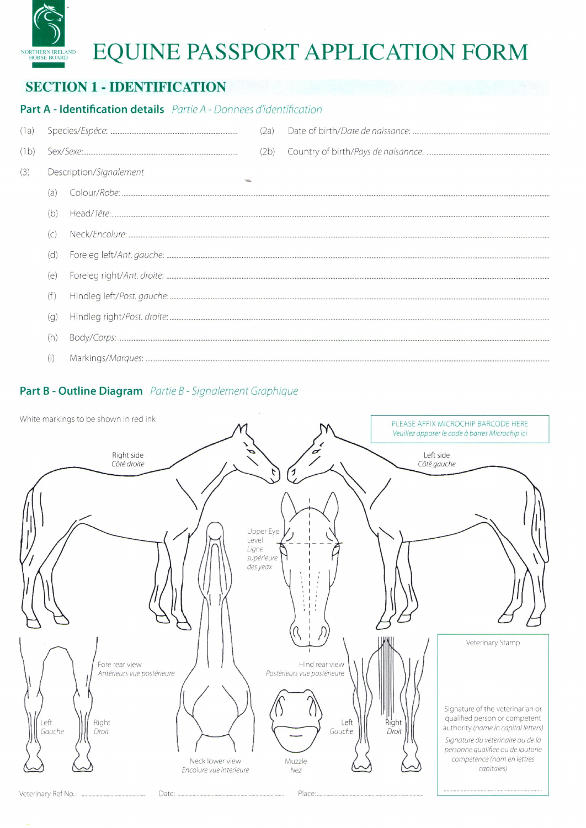# EQUINE PASSPORT APPLICATION FORM

# **SECTION 1 - IDENTIFICATION**

**DRTHERN IRELAND**<br>HORSE BOARD

## Part A - Identification details Partie A - Donnees d'identification

| (1a) |                         |  | (2a) |  |
|------|-------------------------|--|------|--|
| (1b) |                         |  | (2b) |  |
| (3)  | Description/Signalement |  |      |  |
|      | (a)                     |  |      |  |
|      | (b)                     |  |      |  |
|      | (C)                     |  |      |  |
|      | (d)                     |  |      |  |
|      | (e)                     |  |      |  |
|      | (†                      |  |      |  |
|      | (q)                     |  |      |  |
|      | (h)                     |  |      |  |
|      | (i)                     |  |      |  |

#### Part B - Outline Diagram Partie B - Signalement Graphique